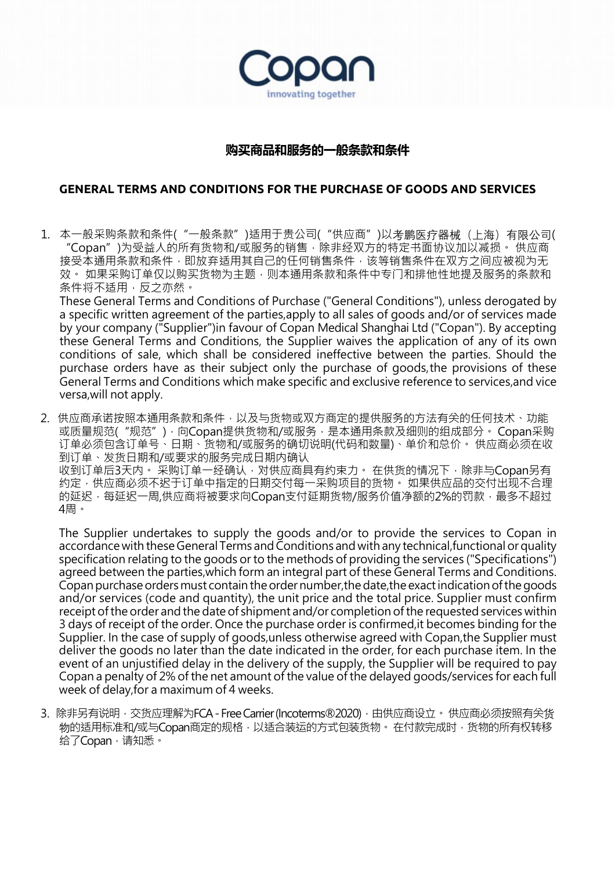

## **购买商品和服务的一般条款和条件**

## **GENERAL TERMS AND CONDITIONS FOR THE PURCHASE OF GOODS AND SERVICES**

1. 本一般采购条款和条件("一般条款")适用于贵公司("供应商")以考鹏医疗器械(上海)有限公司( "Copan")为受益人的所有货物和/或服务的销售,除非经双方的特定书面协议加以减损。 供应商 接受本通用条款和条件,即放弃适用其自己的任何销售条件,该等销售条件在双方之间应被视为无 效。 如果采购订单仅以购买货物为主题,则本通用条款和条件中专门和排他性地提及服务的条款和 条件将不适用,反之亦然。

These General Terms and Conditions of Purchase ("General Conditions"), unless derogated by a specific written agreement of the parties,apply to all sales of goods and/or of services made by your company ("Supplier")in favour of Copan Medical Shanghai Ltd ("Copan"). By accepting these General Terms and Conditions, the Supplier waives the application of any of its own conditions of sale, which shall be considered ineffective between the parties. Should the purchase orders have as their subject only the purchase of goods,the provisions of these General Terms and Conditions which make specific and exclusive reference to services,and vice versa,will not apply.

2. 供应商承诺按照本通用条款和条件,以及与货物或双方商定的提供服务的方法有关的任何技术、功能 或质量规范("规范"),向Copan提供货物和/或服务,是本通用条款及细则的组成部分。 Copan采购 订单必须包含订单号、日期、货物和/或服务的确切说明(代码和数量)、单价和总价。 供应商必须在收 到订单、发货日期和/或要求的服务完成日期内确认

收到订单后3天内。 采购订单一经确认,对供应商具有约束力。 在供货的情况下,除非与Copan另有 约定,供应商必须不迟于订单中指定的日期交付每一采购项目的货物。 如果供应品的交付出现不合理 的延迟,每延迟一周,供应商将被要求向Copan支付延期货物/服务价值净额的2%的罚款,最多不超过 4周。

The Supplier undertakes to supply the goods and/or to provide the services to Copan in accordance with these General Terms and Conditions and with any technical, functional or quality specification relating to the goods or to the methods of providing the services ("Specifications") agreed between the parties,which form an integral part of these General Terms and Conditions. Copan purchase orders must contain the order number, the date, the exact indication of the goods and/or services (code and quantity), the unit price and the total price. Supplier must confirm receipt of the order and the date of shipment and/or completion of the requested services within 3 days of receipt of the order. Once the purchase order is confirmed,it becomes binding for the Supplier. In the case of supply of goods,unless otherwise agreed with Copan,the Supplier must deliver the goods no later than the date indicated in the order, for each purchase item. In the event of an unjustified delay in the delivery of the supply, the Supplier will be required to pay Copan a penalty of 2% of the net amount of the value of the delayed goods/services for each full week of delay,for a maximum of 4 weeks.

3. 除非另有说明, 交货应理解为FCA - Free Carrier (Incoterms®2020), 由供应商设立。供应商必须按照有关货 物的适用标准和/或与Copan商定的规格,以适合装运的方式包装货物。 在付款完成时,货物的所有权转移 给了Copan,请知悉。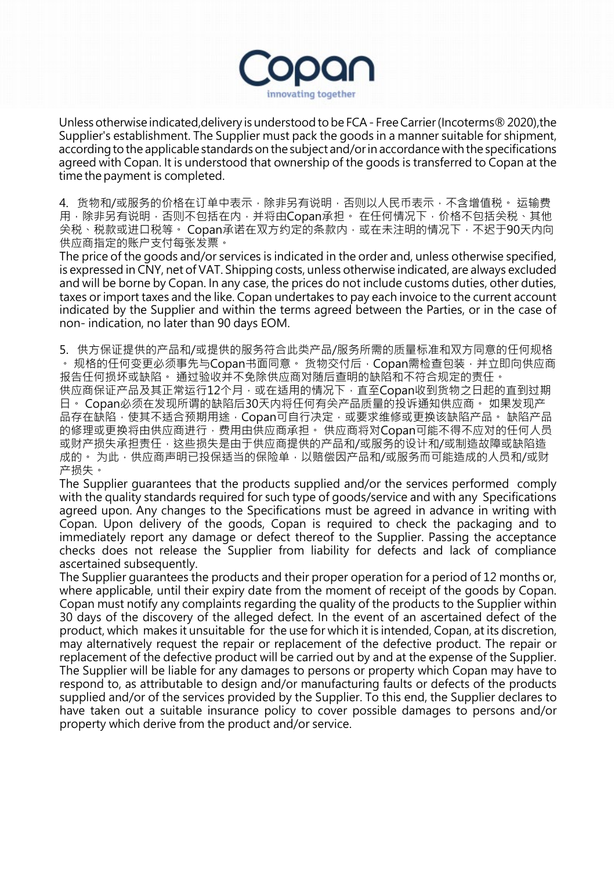

Unlessotherwise indicated,delivery is understood tobe FCA- FreeCarrier(Incoterms®2020),the Supplier's establishment. The Supplier must pack the goods in a manner suitable for shipment, according to the applicable standards on the subject and/or in accordance with the specifications agreed with Copan. It is understood that ownership of the goods is transferred to Copan at the time the payment is completed.

4. 货物和/或服务的价格在订单中表示,除非另有说明,否则以人民币表示,不含增值税。 运输费 用,除非另有说明,否则不包括在内,并将由Copan承担。 在任何情况下,价格不包括关税、其他 关税、税款或进口税等。 Copan承诺在双方约定的条款内,或在未注明的情况下,不迟于90天内向 供应商指定的账户支付每张发票。

The price of the goods and/or services is indicated in the order and, unless otherwise specified, is expressed in CNY, net of VAT. Shipping costs, unless otherwise indicated, are always excluded and will be borne by Copan. In any case, the prices do not include customs duties, other duties, taxes or import taxes and the like. Copan undertakes to pay each invoice to the current account indicated by the Supplier and within the terms agreed between the Parties, or in the case of non- indication, no later than 90 days EOM.

5. 供方保证提供的产品和/或提供的服务符合此类产品/服务所需的质量标准和双方同意的任何规格 。 规格的任何变更必须事先与Copan书面同意。 货物交付后,Copan需检查包装,并立即向供应商 报告任何损坏或缺陷。 通过验收并不免除供应商对随后查明的缺陷和不符合规定的责任。 供应商保证产品及其正常运行12个月,或在适用的情况下,直至Copan收到货物之日起的直到过期 日。 Copan必须在发现所谓的缺陷后30天内将任何有关产品质量的投诉通知供应商。 如果发现产 品存在缺陷,使其不适合预期用途,Copan可自行决定,或要求维修或更换该缺陷产品。 缺陷产品 的修理或更换将由供应商进行,费用由供应商承担。 供应商将对Copan可能不得不应对的任何人员 或财产损失承担责任,这些损失是由于供应商提供的产品和/或服务的设计和/或制造故障或缺陷造 成的。 为此,供应商声明已投保适当的保险单,以赔偿因产品和/或服务而可能造成的人员和/或财 产损失。

The Supplier guarantees that the products supplied and/or the services performed comply with the quality standards required for such type of goods/service and with any Specifications agreed upon. Any changes to the Specifications must be agreed in advance in writing with Copan. Upon delivery of the goods, Copan is required to check the packaging and to immediately report any damage or defect thereof to the Supplier. Passing the acceptance checks does not release the Supplier from liability for defects and lack of compliance ascertained subsequently.

The Supplier guarantees the products and their proper operation for a period of 12 months or, where applicable, until their expiry date from the moment of receipt of the goods by Copan. Copan must notify any complaints regarding the quality of the products to the Supplier within 30 days of the discovery of the alleged defect. In the event of an ascertained defect of the product, which makes it unsuitable for the use for which it is intended, Copan, at its discretion, may alternatively request the repair or replacement of the defective product. The repair or replacement of the defective product will be carried out by and at the expense of the Supplier. The Supplier will be liable for any damages to persons or property which Copan may have to respond to, as attributable to design and/or manufacturing faults or defects of the products supplied and/or of the services provided by the Supplier. To this end, the Supplier declares to have taken out a suitable insurance policy to cover possible damages to persons and/or property which derive from the product and/or service.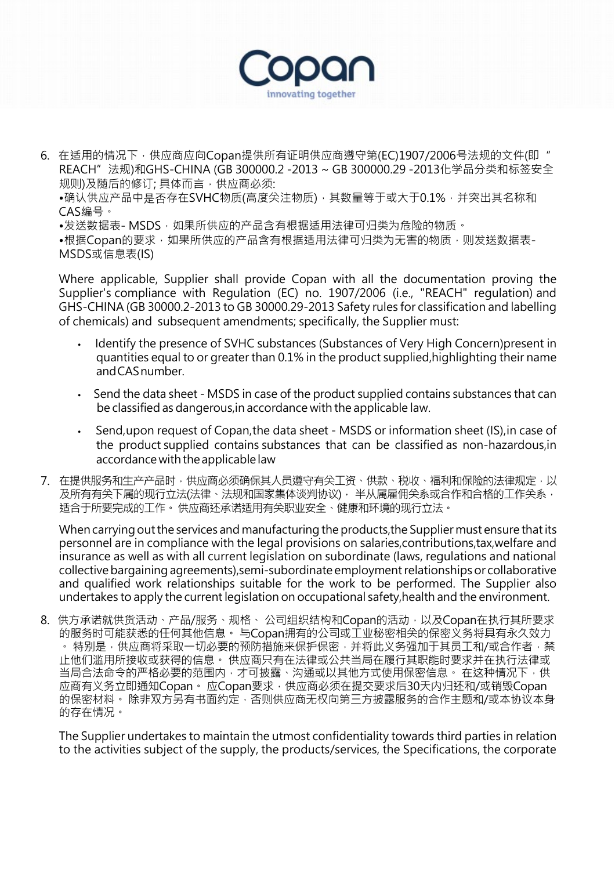

6. 在适用的情况下,供应商应向Copan提供所有证明供应商遵守第(EC)1907/2006号法规的文件(即" REACH"法规)和GHS-CHINA (GB 300000.2 -2013 ~ GB 300000.29 -2013化学品分类和标签安全 规则)及随后的修订; 具体而言,供应商必须:

●确认供应产品中是否存在SVHC物质(高度关注物质), 其数量等于或大于0.1%, 并突出其名称和 CAS编号。

•发送数据表- MSDS, 如果所供应的产品含有根据适用法律可归类为危险的物质。

•根据Copan的要求,如果所供应的产品含有根据适用法律可归类为无害的物质,则发送数据表-MSDS或信息表(IS)

Where applicable, Supplier shall provide Copan with all the documentation proving the Supplier's compliance with Regulation (EC) no. 1907/2006 (i.e., "REACH" regulation) and GHS-CHINA (GB 30000.2-2013 to GB 30000.29-2013 Safety rules for classification and labelling of chemicals) and subsequent amendments; specifically, the Supplier must:

- Identify the presence of SVHC substances (Substances of Very High Concern)present in quantities equal to or greater than 0.1% in the product supplied,highlighting their name andCASnumber.
- Send the data sheet MSDS in case of the product supplied contains substances that can be classified as dangerous,in accordance with the applicable law.
- Send, upon request of Copan, the data sheet MSDS or information sheet (IS), in case of the product supplied contains substances that can be classified as non-hazardous,in accordance with the applicable law
- 7. 在提供服务和生产产品时,供应商必须确保其人员遵守有关工资、供款、税收、福利和保险的法律规定,以 及所有有关下属的现行立法(法律、法规和国家集体谈判协议), 半从属雇佣关系或合作和合格的工作关系, 适合于所要完成的工作。供应商还承诺适用有关职业安全、健康和环境的现行立法。

When carrying out the services and manufacturing the products, the Supplier must ensure that its personnel are in compliance with the legal provisions on salaries,contributions,tax,welfare and insurance as well as with all current legislation on subordinate (laws, regulations and national collective bargaining agreements), semi-subordinate employment relationships or collaborative and qualified work relationships suitable for the work to be performed. The Supplier also undertakes to apply the current legislation on occupational safety, health and the environment.

8. 供方承诺就供货活动、产品/服务、规格、 公司组织结构和Copan的活动,以及Copan在执行其所要求 的服务时可能获悉的任何其他信息。 与Copan拥有的公司或工业秘密相关的保密义务将具有永久效力 · 特别是,供应商将采取一切必要的预防措施来保护保密,并将此义务强加于其员工和/或合作者,禁 止他们滥用所接收或获得的信息。 供应商只有在法律或公共当局在履行其职能时要求并在执行法律或 当局合法命令的严格必要的范围内,才可披露、沟通或以其他方式使用保密信息。 在这种情况下,供 应商有义务立即通知Copan。 应Copan要求,供应商必须在提交要求后30天内归还和/或销毁Copan 的保密材料。 除非双方另有书面约定,否则供应商无权向第三方披露服务的合作主题和/或本协议本身 的存在情况。

The Supplier undertakes to maintain the utmost confidentiality towards third parties in relation to the activities subject of the supply, the products/services, the Specifications, the corporate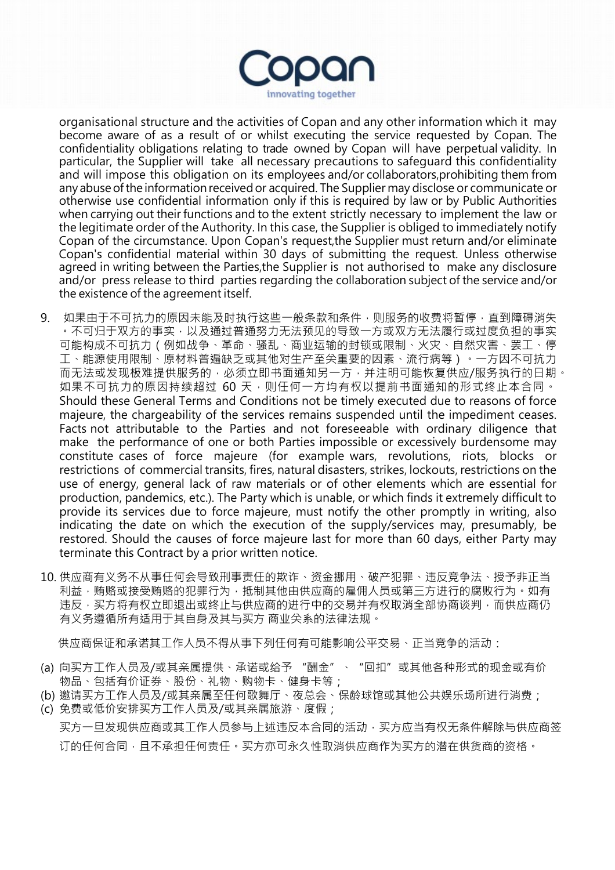

organisational structure and the activities of Copan and any other information which it may become aware of as a result of or whilst executing the service requested by Copan. The confidentiality obligations relating to trade owned by Copan will have perpetual validity. In particular, the Supplier will take all necessary precautions to safequard this confidentiality and will impose this obligation on its employees and/or collaborators,prohibiting them from any abuse of the information received or acquired. The Supplier may disclose or communicate or otherwise use confidential information only if this is required by law or by Public Authorities when carrying out their functions and to the extent strictly necessary to implement the law or the legitimate order of the Authority. In this case, the Supplier is obliged to immediately notify Copan of the circumstance. Upon Copan's request,the Supplier must return and/or eliminate Copan's confidential material within 30 days of submitting the request. Unless otherwise agreed in writing between the Parties,the Supplier is not authorised to make any disclosure and/or press release to third parties regarding the collaboration subject of the service and/or the existence of the agreement itself.

- 9. 如果由于不可抗力的原因未能及时执行这些一般条款和条件,则服务的收费将暂停,直到障碍消失 。不可归于双方的事实,以及通过普通努力无法预见的导致一方或双方无法履行或过度负担的事实 可能构成不可抗力(例如战争、革命、骚乱、商业运输的封锁或限制、火灾、自然灾害、罢工、停 工、能源使用限制、原材料普遍缺乏或其他对生产至关重要的因素、流行病等)。一方因不可抗力 而无法或发现极难提供服务的,必须立即书面通知另一方,并注明可能恢复供应/服务执行的日期。 如果不可抗力的原因持续超过 60 天, 则任何一方均有权以提前书面通知的形式终止本合同。 Should these General Terms and Conditions not be timely executed due to reasons of force majeure, the chargeability of the services remains suspended until the impediment ceases. Facts not attributable to the Parties and not foreseeable with ordinary diligence that make the performance of one or both Parties impossible or excessively burdensome may constitute cases of force majeure (for example wars, revolutions, riots, blocks or restrictions of commercial transits, fires, natural disasters, strikes, lockouts, restrictions on the use of energy, general lack of raw materials or of other elements which are essential for production, pandemics, etc.). The Party which is unable, or which finds it extremely difficult to provide its services due to force majeure, must notify the other promptly in writing, also indicating the date on which the execution of the supply/services may, presumably, be restored. Should the causes of force majeure last for more than 60 days, either Party may terminate this Contract by a prior written notice.
- 10. 供应商有义务不从事任何会导致刑事责任的欺诈、资金挪用、破产犯罪、违反竞争法、授予非正当 利益,贿赂或接受贿赂的犯罪行为,抵制其他由供应商的雇佣人员或第三方进行的腐败行为。如有 违反,买方将有权立即退出或终止与供应商的进行中的交易并有权取消全部协商谈判,而供应商仍 有义务遵循所有适用于其自身及其与买方 商业关系的法律法规。

供应商保证和承诺其工作人员不得从事下列任何有可能影响公平交易、正当竞争的活动:

- (a) 向买方工作人员及/或其亲属提供、承诺或给予 "酬金"、"回扣"或其他各种形式的现金或有价 物品、包括有价证券、股份、礼物、购物卡、健身卡等;
- (b) 邀请买方工作人员及/或其亲属至任何歌舞厅、夜总会、保龄球馆或其他公共娱乐场所进行消费;
- (c) 免费或低价安排买方工作人员及/或其亲属旅游、度假; 买方一旦发现供应商或其工作人员参与上述违反本合同的活动,买方应当有权无条件解除与供应商签 订的任何合同,且不承担任何责任。买方亦可永久性取消供应商作为买方的潜在供货商的资格。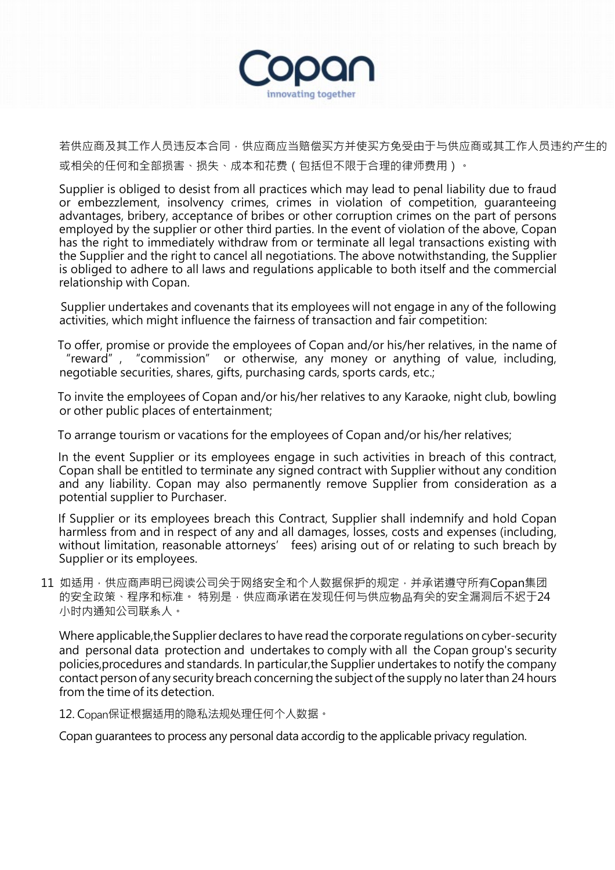

若供应商及其工作人员违反本合同,供应商应当赔偿买方并使买方免受由于与供应商或其工作人员违约产生的 或相关的任何和全部损害、损失、成本和花费(包括但不限于合理的律师费用)。

Supplier is obliged to desist from all practices which may lead to penal liability due to fraud or embezzlement, insolvency crimes, crimes in violation of competition, guaranteeing advantages, bribery, acceptance of bribes or other corruption crimes on the part of persons employed by the supplier or other third parties. In the event of violation of the above, Copan has the right to immediately withdraw from or terminate all legal transactions existing with the Supplier and the right to cancel all negotiations. The above notwithstanding, the Supplier is obliged to adhere to all laws and regulations applicable to both itself and the commercial relationship with Copan.

 Supplier undertakes and covenants that its employees will not engage in any of the following activities, which might influence the fairness of transaction and fair competition:

 To offer, promise or provide the employees of Copan and/or his/her relatives, in the name of "reward", "commission" or otherwise, any money or anything of value, including, negotiable securities, shares, gifts, purchasing cards, sports cards, etc.;

 To invite the employees of Copan and/or his/her relatives to any Karaoke, night club, bowling or other public places of entertainment;

To arrange tourism or vacations for the employees of Copan and/or his/her relatives;

 In the event Supplier or its employees engage in such activities in breach of this contract, Copan shall be entitled to terminate any signed contract with Supplier without any condition and any liability. Copan may also permanently remove Supplier from consideration as a potential supplier to Purchaser.

 If Supplier or its employees breach this Contract, Supplier shall indemnify and hold Copan harmless from and in respect of any and all damages, losses, costs and expenses (including, without limitation, reasonable attorneys' fees) arising out of or relating to such breach by Supplier or its employees.

11 如适用,供应商声明已阅读公司关于网络安全和个人数据保护的规定,并承诺遵守所有Copan集团 的安全政策、程序和标准。 特别是,供应商承诺在发现任何与供应物品有关的安全漏洞后不迟于24 小时内通知公司联系人。

Where applicable,the Supplier declares to have read the corporate regulations on cyber-security and personal data protection and undertakes to comply with all the Copan group's security policies,procedures and standards. In particular,the Supplier undertakes to notify the company contact person of any security breach concerning the subject ofthe supply no laterthan 24 hours from the time of its detection.

12. Copan保证根据适用的隐私法规处理任何个人数据。

Copan guarantees to process any personal data accordig to the applicable privacy regulation.